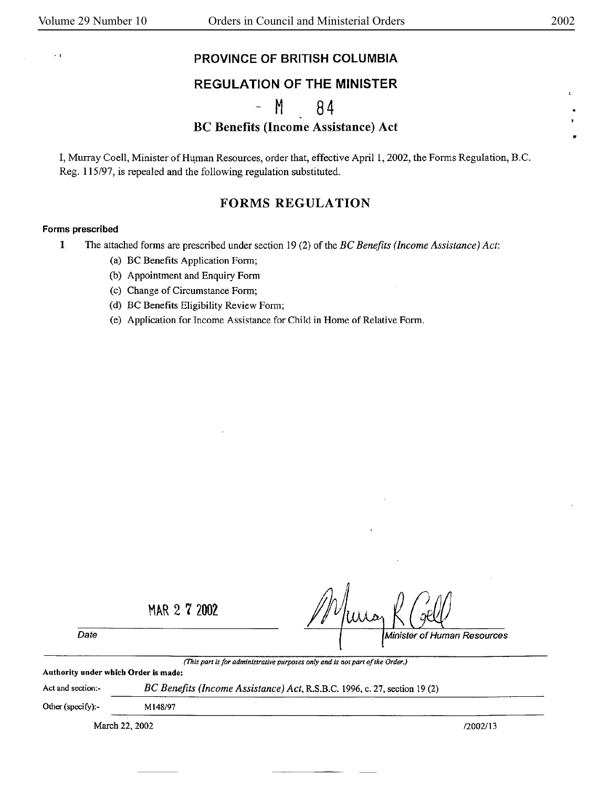•

 $\cdot$ 

### **EXAMPLE OF BRITISH COLUMBIA**

## REGULATION OF THE **MINISTER**

## M 84

## BC Benefits (Income Assistance) Act

I, Murray Coell, Minister of Human Resources, order that, effective April 1, 2002, the Forms Regulation, B.C. Reg. 115/97, is repealed and the following regulation substituted.

## **FORMS REGULATION**

#### **Forms prescribed**

- **1** The attached forms are prescribed under section 19 (2) of the *BC Benefits ( Income Assistance) Act:* 
	- (a) BC Benefits Application Form;
	- (b) Appointment and Enquiry Form
	- (c) Change of Circumstance Form;
	- (d) BC Benefits Eligibility Review Form;
	- (e) Application for Income Assistance for Chi Id in Home of Relative Form.

MAR 2 7 2002

Date **Minister of Human Resources** 

*(This part is for administrative purposes only and is not part of the Order.)* 

*BC Benefits (Income Assistance) Act,* R.S.B.C. 1996, c. 27, section 19 (2)

**Authority under which Order** is **made:** 

Act and section:-

Other (specify):- Ml48/97

March 22, 2002 */2002/13 /2002/13*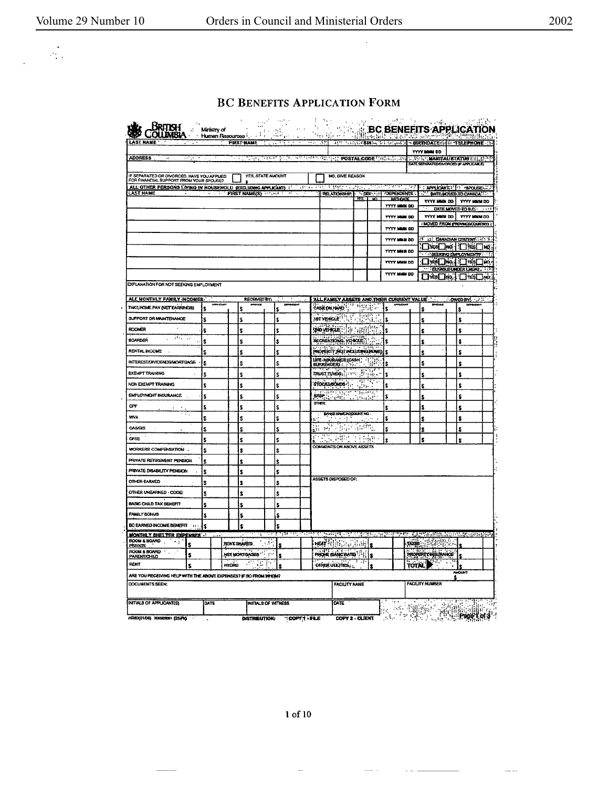$\frac{1}{\sqrt{2}}$ 

 $\ddot{\phantom{a}}$ 

 $\ddot{\phantom{a}}$ 

## BC BENEFITS APPLICATION FORM

| <b>AST NAME</b>                                                                                        |                   |                    | <b>FIRST NAME</b> |                           | रामस्य र                    | $\left\langle \alpha_{i}\right\rangle _{i}$<br>नगरम |                                                                          |                                       | APPLE CONTROLLED IN ENTERTAINMENT CONTROLLED HOME - (3) |      |                                                                               |                                          |                    |
|--------------------------------------------------------------------------------------------------------|-------------------|--------------------|-------------------|---------------------------|-----------------------------|-----------------------------------------------------|--------------------------------------------------------------------------|---------------------------------------|---------------------------------------------------------|------|-------------------------------------------------------------------------------|------------------------------------------|--------------------|
|                                                                                                        |                   |                    |                   |                           |                             |                                                     |                                                                          |                                       |                                                         |      | <b>YYYY MMM OD</b>                                                            |                                          |                    |
| <b>ADDRESS</b> .<br>÷<br>नगर                                                                           |                   |                    | ÷.                | ਧਰਾਹ                      |                             |                                                     | <b>SECRET THE POSTAL CODE MARINE, 199</b>                                |                                       |                                                         |      | <b>AND MARITALISTATUS (HLANESP)</b><br>DATE SEPARATED DIVORCED (F APPLICABLE) |                                          |                    |
| IF SEPARATED OR DIVORCED, HAVE YOU APPLIED                                                             |                   |                    |                   | YES, STATE AMOUNT         |                             |                                                     | NO. GIVE REASON                                                          |                                       |                                                         |      |                                                                               |                                          |                    |
| FOR FINANCIAL SUPPORT FROM YOUR SPOUSE?<br>ALL OTHER PERSONS LIVING IN HOUSEHOLD (EXCLUDING APPLICANT) |                   |                    |                   |                           |                             | 7 Tarixi Vas                                        | ৰ কাৰ্যালয় হৈছে।                                                        |                                       | रसाइयामानसम्                                            |      | <b>APPLICANT! APOUSE</b>                                                      |                                          |                    |
| <b>LAST NAME</b>                                                                                       |                   |                    |                   | <b>FIRST NAME/SY AREA</b> | $\mathcal{F}_{\mathcal{F}}$ |                                                     |                                                                          |                                       | RELATIONSHIP \OBP: : \OBPENDENTS                        |      | DATE MOVED TO CANADA!                                                         |                                          |                    |
|                                                                                                        |                   |                    |                   |                           |                             |                                                     |                                                                          |                                       | YYYY MMM DO                                             |      | YYYY MMAN DD I                                                                |                                          | YYYY MHH DO        |
|                                                                                                        |                   |                    |                   |                           |                             |                                                     |                                                                          |                                       | YYYY MAMI DO                                            |      | YYYY MAN DO                                                                   | DATE MOVED TO B.C.                       | <b>YYYY MAM DD</b> |
|                                                                                                        |                   |                    |                   |                           |                             |                                                     |                                                                          |                                       | YYYY MMM DD                                             |      | <b>I MOVED FROM PROVINCE/COUNTRY</b>                                          |                                          |                    |
|                                                                                                        |                   |                    |                   |                           |                             |                                                     |                                                                          |                                       | YYYY MMM DD                                             |      | I IS CANADIAN CITIZENT                                                        |                                          |                    |
|                                                                                                        |                   |                    |                   |                           |                             |                                                     |                                                                          |                                       |                                                         |      |                                                                               | ⊇¥≼≸⊡₩ά-I⊡Y®≤⊟wà                         |                    |
|                                                                                                        |                   |                    |                   |                           |                             |                                                     |                                                                          |                                       | YYYY MHM DD                                             |      |                                                                               | <b>SEERING EMPLOYMENT?</b>               |                    |
|                                                                                                        |                   |                    |                   |                           |                             |                                                     |                                                                          |                                       | <b>YYYY MMM DD</b>                                      |      |                                                                               | □难□吨】□南□响<br>THE IGUBLE UNDER LADAY, THE |                    |
|                                                                                                        |                   |                    |                   |                           |                             |                                                     |                                                                          |                                       | <b>YYYY MAGN DD</b>                                     |      | O™©™™™©™                                                                      |                                          |                    |
| EXPLANATION FOR NOT SEEKING EMPLOYMENT                                                                 |                   |                    |                   |                           |                             |                                                     |                                                                          |                                       |                                                         |      |                                                                               |                                          |                    |
| <u>ALE MONTHLY FAMILY INCOMES.</u>                                                                     |                   |                    | RECEIVED BY:      |                           |                             |                                                     |                                                                          |                                       | ALL FAMILY ABSETS AND THEIR CURRENT VALUE               |      |                                                                               | <b>OWED BY:</b> A SAMPLE                 |                    |
| TAKE ROME PAY (NET EARNINGS)                                                                           | \$                | Ś                  |                   | s                         |                             |                                                     | CASH ON HAND !! " " IT IT IT !                                           |                                       | Ś                                                       |      | \$                                                                            | ŝ                                        |                    |
| SUPPORT OR MAINTENANCE                                                                                 | \$                | S                  |                   | s                         |                             |                                                     | <b>ABT VEHICLE IN A REAL PROPERTY</b>                                    |                                       | \$                                                      |      | S                                                                             | \$                                       |                    |
| ROOMER                                                                                                 | \$                | \$                 |                   | s                         |                             |                                                     | <b>200 verticle</b> : 150 application                                    |                                       | Ś                                                       |      | Ŝ                                                                             | ¢                                        |                    |
| $\overline{AB}$ , $\overline{AB}$<br><b>BOARDER</b>                                                    | \$                | s                  |                   | \$                        |                             |                                                     | RECREATIONAL VIEWSELT!                                                   |                                       | ŝ                                                       |      |                                                                               | \$                                       |                    |
| <b>RENTAL INCOME</b><br>$\overline{a}$                                                                 |                   |                    |                   |                           |                             |                                                     | PROPERTY (NOT INCLUDING POME)                                            |                                       | š                                                       |      | \$                                                                            |                                          |                    |
|                                                                                                        | s                 | Ś                  |                   | Ś                         |                             |                                                     |                                                                          |                                       |                                                         |      | \$                                                                            | \$                                       |                    |
| INTEREST/OVIDENDS/MORTGAGE                                                                             | \$                | \$                 |                   | \$                        |                             |                                                     | LIFE INSURANCE (CASH                                                     |                                       | s                                                       |      | \$                                                                            | £                                        |                    |
| <b>EXEMPT TRAINING</b>                                                                                 | S                 | Ś                  |                   | Ś                         |                             |                                                     | TRUST FUNDS ; : : : : : : : : : :                                        | $\mathbf{r}$                          | Ś                                                       |      | Ś                                                                             | Ś                                        |                    |
| NON EXEMPT TRAINING                                                                                    | \$                | Ś                  |                   | Ś                         |                             |                                                     | stocks, dwos :                                                           | ्य स्थानस्<br>संस्कृति<br>म्बद्धाः स् | ŝ                                                       |      | Ŝ                                                                             | Ś                                        |                    |
| EMPLOYMENT INSURANCE                                                                                   | ŝ                 | ś                  |                   | Ś                         |                             | jarde <u>i Lodoli</u><br>$m =$                      | <b>Prinsip</b>                                                           | $\sim$ $\sim$                         | Ś                                                       |      | \$                                                                            | Ś                                        |                    |
| <b>CPP</b><br>$\mathbf{r}$                                                                             | s                 | \$                 |                   | \$                        |                             |                                                     |                                                                          |                                       | ŝ                                                       |      | ŝ                                                                             | \$                                       |                    |
| <b>WVA</b>                                                                                             | Ś                 | Ś                  |                   | Ś                         |                             |                                                     | BANG HAMEADOOUNT NO.<br>计文件                                              |                                       | ¢                                                       |      | Ŝ                                                                             | Ś                                        |                    |
| OAS/GIS                                                                                                | \$                | Ś                  |                   | Ś                         |                             | ò.                                                  | में <i>स्त्री स्थिति के</i> क्रिकेट                                      |                                       | \$                                                      |      | Ś                                                                             | s                                        |                    |
| GFSS                                                                                                   | \$                | Ś                  |                   | Ś                         |                             | アイクリ                                                | 医阴脓                                                                      | in Edward                             |                                                         |      | Ś                                                                             | Ś                                        |                    |
| WORKERS COMPENSATION                                                                                   | \$                | Ś                  |                   | \$                        |                             |                                                     | <b>COMMENTS ON ABOVE ASSETS</b>                                          |                                       |                                                         |      |                                                                               |                                          |                    |
| PRIVATE RETIREMENT PENSION                                                                             | ŝ                 | Ŝ                  |                   | Ŝ                         |                             |                                                     |                                                                          |                                       |                                                         |      |                                                                               |                                          |                    |
| PRIVATE DISABILITY PENSION                                                                             | ŝ                 | ŝ                  |                   | Ś                         |                             |                                                     |                                                                          |                                       |                                                         |      |                                                                               |                                          |                    |
| <b>OTHER EARNED</b>                                                                                    | \$                | Ś                  |                   | Ś                         |                             |                                                     | ASSETS DISPOSED OF:                                                      |                                       |                                                         |      |                                                                               |                                          |                    |
| OTHER UNEARNED - CODE:                                                                                 | s                 | Ŝ                  |                   | Ś                         |                             |                                                     |                                                                          |                                       |                                                         |      |                                                                               |                                          |                    |
| <b>BASIC CHILD TAX BENEFIT</b>                                                                         | Ś                 | \$                 |                   | \$                        |                             |                                                     |                                                                          |                                       |                                                         |      |                                                                               |                                          |                    |
| <b>FAMILY BONUS</b>                                                                                    | \$                | Ś                  |                   | ı\$                       |                             |                                                     |                                                                          |                                       |                                                         |      |                                                                               |                                          |                    |
| BC EARNED INCOME BENEFIT                                                                               | $\mathbf{r}$<br>¢ | s                  |                   | \$                        |                             |                                                     |                                                                          |                                       |                                                         |      |                                                                               |                                          |                    |
| MONTHLY BHELTER EXPENSES                                                                               |                   |                    |                   | Ŧ                         | ्या पर्ने                   |                                                     | परस्वार                                                                  |                                       | 16. JU                                                  |      | anggan se                                                                     |                                          | an skiller         |
| <b>ROOM &amp; BOARD</b><br>$\rightarrow$<br>1<br>PRIVATE                                               |                   | <b>RENT SHARED</b> |                   | f sit                     |                             |                                                     | $\mathbf{H} = \left\{ \left( \mathbf{H} \right) \in \mathbb{R} \right\}$ |                                       |                                                         |      |                                                                               |                                          |                    |
| ROOM & BOARD<br>\$<br>PARENTICHILD                                                                     |                   | NET MORTOVOLES     |                   | the g                     | \$                          |                                                     | <b>Price diagogian archiv</b>                                            |                                       |                                                         |      | Rogentzinaikinoide                                                            |                                          |                    |
| RENT                                                                                                   |                   | +NDRO              | г.                | Æ,                        |                             |                                                     | onium urumus,                                                            |                                       |                                                         | TOTA |                                                                               | ٠                                        |                    |
| ARE YOU RECEMING HELP WITH THE ABONE EXPENSES? IF SO FROM WHOM?                                        |                   |                    |                   |                           |                             |                                                     |                                                                          |                                       |                                                         |      |                                                                               | <b>AMOUNT</b>                            |                    |
| DOCUMENTS SEEN:                                                                                        |                   |                    |                   |                           |                             |                                                     | FACILITY NAME                                                            |                                       |                                                         |      | FACILITY NUMBER                                                               | s                                        |                    |
|                                                                                                        |                   |                    |                   |                           |                             |                                                     |                                                                          |                                       |                                                         |      |                                                                               |                                          |                    |
| INITIALS OF APPLICANT(S)                                                                               | DATE              |                    |                   | INITIALS OF WITNESS       |                             |                                                     | DATE                                                                     |                                       |                                                         |      |                                                                               |                                          |                    |

 $1$  of  $10$ 

 $\mathbb{Z}^2$ 

 $\sim$   $\sim$ 

 $\sim 100$ 

 $\overline{a} = \overline{a}$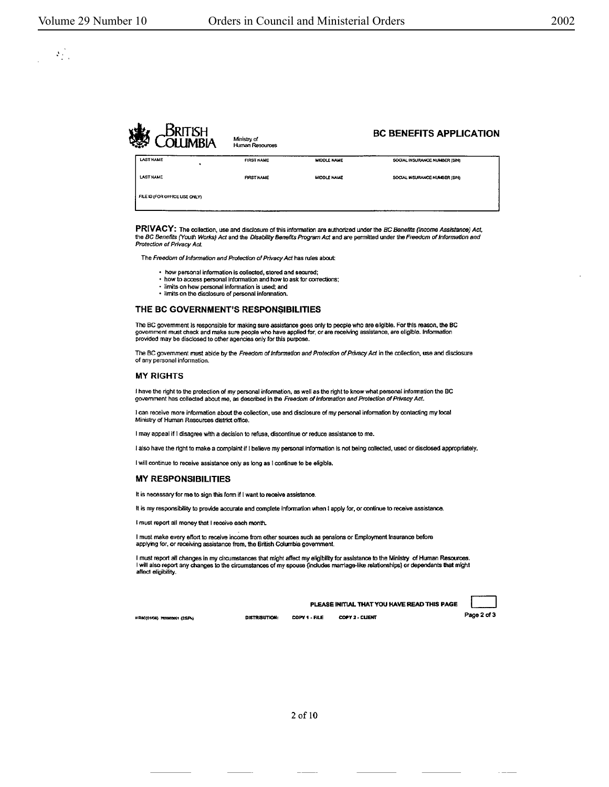$\mathcal{O}(\mathcal{E})$ 

| ۷Ś | IMRIA                         | Ministry of<br>Human Resources |                    | <b>BC BENEFITS APPLICATION</b> |
|----|-------------------------------|--------------------------------|--------------------|--------------------------------|
|    | <b>LAST NAME</b>              | <b>FIRST NAME</b>              | <b>MIDDLE NAME</b> | SOCIAL INSURANCE NUMBER (SIN)  |
|    | <b>LAST NAME</b>              | <b>FIRST NAME</b>              | <b>MIDDLE NAME</b> | SOCIAL INSURANCE NUMBER (SIN)  |
|    | FILE ID (FOR OFFICE USE ONLY) |                                |                    |                                |

**PRIVACY:** The collection, use and disclosure of this infonnalion are authorized under the BC Benefits (Income Assistance) Act, the BC Benefits (Youth Works) Act and the Disability Benefits Program Act and are permitted under the Freedom of Information and Protection of Privacy Act.

The Freedom of Information and Protection of Privacy Act has rules about:

- how personal information is collected, stored and secured;
- how to access personal Information and how to ask for corrections:
- limi1s on how personal lnfonnation is used; and • limits on the disclosure of personal information.

#### THE **BC GOVERNMENT'S RESPONSIBILITIES**

The BC government is responsible for making sure assistance goes only to people who are eligible. For this reason, the BC<br>government must check and make sure people who have applied for, or are receiving assistance, are el

The BC government must abide by the Freedom of Information and Protection of Privacy Act in the collection, use and disclosure of any personal infonnation.

#### MY RIGHTS

I have the right to lhe protedion of my personal infonnation, **as** well as the right to know what personal infonnation the BC government has collected about me, as described in the Freedom of Information and Protection of Privacy Act.

I can receive more information about the collection, use and disclosure of my personal information by contacting my local Ministry of Human Resources district office.

I may appeal If I disagree wtth **a** decision to refuse, discontinue or reduce assistance to me.

I also have the right to make a complaint if I believe my personal information is not being collected, used or disclosed appropriately.

I will continue to receive assistance only as long as I continue to be eligible.

#### **MY RESPONSIBILITIES**

It is necessary for me to sign this form if I want to receive assistance.

It is my responsibility to provide accurate and complete information when I apply for, or continue to receive assistance.

I must report all money that I receive each month.

I must make every effort to receive income from other sources such as pensions or Employment Insurance befora applyng for, or receiving assistance from, the British Colwnbia government.

l must report all changes in my circumstances that might affect my eligibility for assistance to the Ministry of Human Resources.<br>I will also report any changes to the circumstances of my spouse (includes marriage-like rel affect eligibility.

HR80(01/08) 7830903051 (25.Pk)

DISTRIBUTION: COPY 1 • FILE COPY 2 • CLIENT **Page 2 of 3** 

PLEASE INITIAL THAT YOU **HAVE READ** THIS PAGE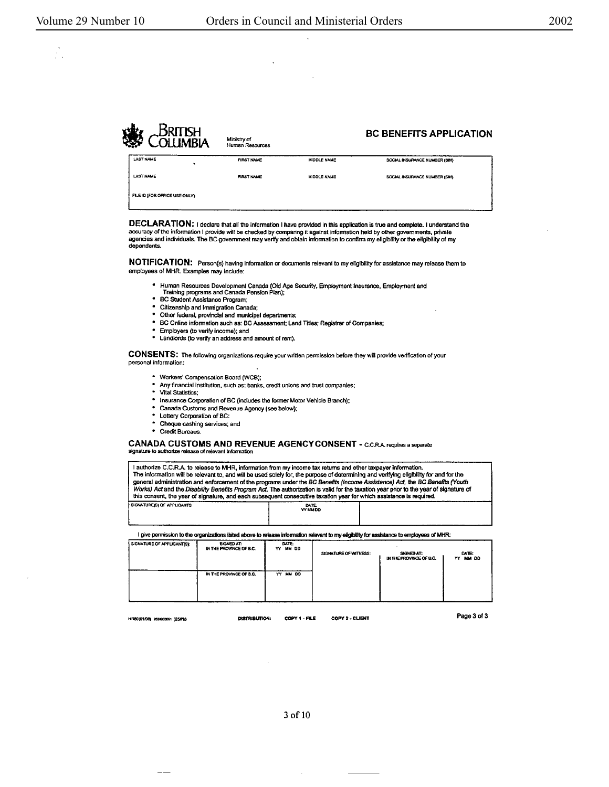$\mathcal{L}_1$ 

**BC BENEFITS APPLICATION** Ministry of<br>Human Resources **LAST NAME** FIRST NAME MIDDLE NAME SOCIAL INSURANCE NUMBER (SIN) **LAST NAME FIRST NAME MIDDLE NAME** BOCIAL INSURANCE NUMBER (SIN) FILE ID (FOR OFFICE USE ONLY)

DECLARATION: I declare that all the information I have provided in this application is true and complete. I understand the accuracy of the information I provide will be checked by comparing it against information held by o agencies and individuals. The BC government may verify and obtain information to confirm my eligibility or the eligibility of my dependents.

NOTIFICATION: Person(s) having information or documents relevant to my eligibility for assistance may release them to employees of MHR. Examples may include:

- 4 Human Resources Development Canada (Old Age Security, Employment Insurance, Employment and<br>Training programs and Canada Pension Plan);
- · BC Student Assistance Program;
- Citizenship and Immigration Canada;
- \* Other federal, provincial and municipal departments;
- \* BC Online information such as: BC Assessment; Land Titles; Registrar of Companies;
- Employers (to verify income); and
- \* Landlords (to verify an address and amount of rent).

CONSENTS: The following organizations require your written permission before they will provide verification of your personal information:

- \* Workers' Compensation Board (WCB);
- Any financial institution, such as: banks, credit unions and trust companies;
- $\bullet$ Vital Statistics:
- Insurance Corporation of BC (includes the former Motor Vehicle Branch);
- Canada Customs and Revenue Agency (see below);  $\bullet$
- Lottery Corporation of BC: Cheque cashing services; and
- Credit Bureaus.

CANADA CUSTOMS AND REVENUE AGENCY CONSENT - C.C.R.A. requires a separate ature to authorize release of relevant information

I authorize C.C.R.A. to release to MHR, information from my income tax returns and other taxpayer information. The information will be relevant to, and will be used solely for, the purpose of determining and verifying eligibility for and for the general administration and enforcement of the programs under the BC Benefits (hocome Assistence) Act, the BC Benefits (Youth Works) Act and the Disability Benefits Program Act. The authorization is valid for the taxation y SIGNATURE(S) OF APPLICANTS

DATE:<br>YY MM DO

I give permission to the organizations ilsted above to release information relevant to my eligibility for assistance to employees of MHR:

| SIGNATURE OF APPLICANT(S): | <b>SIGNED AT:</b><br>IN THE PROVINCE OF B.C. | DATE:<br>YY MM DD | SIGNATURE OF WITNESS: | SIGNED AT:<br>IN THE PROVINCE OF B.C. | <b>DATE:</b><br>YY MM DD |
|----------------------------|----------------------------------------------|-------------------|-----------------------|---------------------------------------|--------------------------|
|                            | IN THE PROVINCE OF B.C.                      | YY MM DD          |                       |                                       |                          |

HR80(01/08) 7630600051 (25/Pk)

DISTRIBUTION:

COPY 1 - FILE COPY 2 - CLIENT Page 3 of 3

3 of 10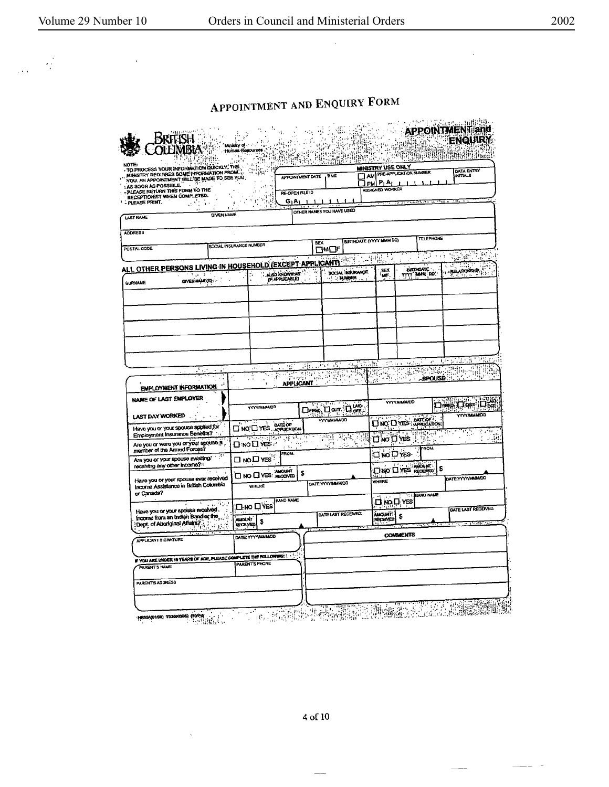$\frac{1}{2}$ 

 $\frac{1}{2}$  .

 $\overline{a}$ 

# APPOINTMENT AND ENQUIRY FORM

| YOU, AN APPOINTMENT WILL BE MADE TO SEE YOU.<br>∃ PM P⊥A⊥<br>ASSIGNED WORKER<br>PLEASE RETURN THIS FORM TO THE<br>RE-OPEN FILE ID<br>$\overline{\phantom{a}}$<br>э<br>$G_1A_1$<br>दरी के<br>OTHER NAMES YOU HAVE USED<br><b>GIVEN NAME</b><br><b>TELEPHONE</b><br>BIRTHDATE (YYYY MMM DD)<br><b>SEX</b><br>SOCIAL INSURANCE NUMBER<br>פאם<br>53<br>Syd:<br>26 P.C<br>۰.<br>987 F<br>۰.,<br>BIRTHDATE<br>TYTY MMN DD<br>SEX<br><b>PEATONSHIP</b><br>SOCIAL INSURANCE<br><b>ALSO IONOWAR</b><br>عاني ک<br>MF.<br><b>JIMBER</b><br>(F APPLICABLE)<br>GIVEN NAME(S);<br>法付款主<br>$\mathbf{r}^*$<br>931<br>المتروح<br>W<br>áx.<br>- 154 K<br>$\frac{1}{2}$ , $\frac{1}{2}$<br>ste i<br>۱۱۰<br>YGC CHALL<br><b>Tags</b><br><b>READ</b><br>¥.,<br>RENU.<br>野梨子<br>is et<br>t.<br>J.<br><i><b>SPOUSE</b></i><br>$\mathbf{e}_{\mathbf{z}}$ ,<br><b>APPLICANT</b><br>-1<br>EMPLOYMENT INFORMATION<br><b>Dep Der Der</b><br><b>YYYY MINNADD</b><br>11.77<br>E-Cal<br>Dreg Dom Dom<br><b>YYYY/MMMOD</b><br><b>POWMMYVYY</b><br>YYYYMMMOD<br><b>DATE OF!</b><br>DNO DYES APPLICATION<br><b>DINO'D YES AFFORDOM</b><br><b>Report Sections</b><br>$\mathbb{P}_{\mathbb{P}^1}$<br>군대 -<br><b>The Disk East</b><br>. <del>.</del><br>3<br>555<br>$\mathcal{A}^{\mathbb{Z}_2}$<br>⊡ мо⊡ ∨еѕ∵<br>$\epsilon$ .<br>ROM.<br>mamber of the Armed Forces?<br>FROM:<br><b>⊡ NO DYES</b><br>Are you or your spouse awaiting/<br>⊟мо⊡Үеѕ்<br>receiving any other income?<br>ANOUNT-<br>\$<br><b>UNO DITES RECEIVED</b><br><b>AMOUNT</b><br>\$<br>$\square$ NO $\square$ YES: RECEIVED<br>Have you or your spouse ever received<br>WHERE<br>DATE:YYYYIMAAADO<br>Income Assistance in British Columbia<br><b>WHERE</b><br>or Canada?<br><b>TELEAND NAME</b><br><b>BAND NAME</b><br><b>O</b> , NO D, YES<br>ήt,<br><b>OM DYES</b><br>Have you or your spousa received.<br>DATE LAST RECEIVED:<br><b>AMOUNT!</b><br>income from an Indian Band or the<br>\$<br><b>ALACINT</b><br>RECEIVED<br>\$<br>Dept of Aboriginal Affairs?<br>RECEMOD<br><b>COMMENTS</b><br>DATE: YYYYAUMMOD<br>APPLICANT SIGNATURE<br>IF YOU ARE UNDER 19 YEARS OF AGE, PLEASE COMPLETE THE FOLLOWING:<br>PARENT'S PHONE<br>PARENT'S NAME<br>PARENT'S ADDRESS | MINISTRY REQUIRES SOME INFORMATION FROM | TO PROCESS YOUR INFORMATION QUICKLY, THE | ិកម្មិតិ<br>ការបង្កើត<br>ž.<br>أأتعجج<br>$\cdot$ . | TING<br>APPOINTMENT DATE | <b>MENISTRY USE ONLY</b><br>AM PRE-APPLICATION NUMBER | DATA ENTRY<br><b>INITIALS</b> |
|----------------------------------------------------------------------------------------------------------------------------------------------------------------------------------------------------------------------------------------------------------------------------------------------------------------------------------------------------------------------------------------------------------------------------------------------------------------------------------------------------------------------------------------------------------------------------------------------------------------------------------------------------------------------------------------------------------------------------------------------------------------------------------------------------------------------------------------------------------------------------------------------------------------------------------------------------------------------------------------------------------------------------------------------------------------------------------------------------------------------------------------------------------------------------------------------------------------------------------------------------------------------------------------------------------------------------------------------------------------------------------------------------------------------------------------------------------------------------------------------------------------------------------------------------------------------------------------------------------------------------------------------------------------------------------------------------------------------------------------------------------------------------------------------------------------------------------------------------------------------------------------------------------------------------------------------------------------------------------------------------------------------------------------------------------------------------------------------------------------------------------------------------------------------------------------------------|-----------------------------------------|------------------------------------------|----------------------------------------------------|--------------------------|-------------------------------------------------------|-------------------------------|
| RECEPTIONIST WHEN COMPLETED.<br>PLEASE PRINT.<br><b>LAST NAME</b><br><b>ADDRESS</b><br>POSTAL CODE<br>A <u>LL OTHER PERSONS LIVING IN HOUSEHOLD (EXCEPT APPLICANT)</u><br>LAST DAY WORKED<br>Have you or your spouse applied for<br>Are you or were you or your spouse a                                                                                                                                                                                                                                                                                                                                                                                                                                                                                                                                                                                                                                                                                                                                                                                                                                                                                                                                                                                                                                                                                                                                                                                                                                                                                                                                                                                                                                                                                                                                                                                                                                                                                                                                                                                                                                                                                                                           | AS SOON AS POSSIBLE.                    |                                          |                                                    |                          |                                                       |                               |
|                                                                                                                                                                                                                                                                                                                                                                                                                                                                                                                                                                                                                                                                                                                                                                                                                                                                                                                                                                                                                                                                                                                                                                                                                                                                                                                                                                                                                                                                                                                                                                                                                                                                                                                                                                                                                                                                                                                                                                                                                                                                                                                                                                                                    |                                         |                                          |                                                    |                          |                                                       |                               |
|                                                                                                                                                                                                                                                                                                                                                                                                                                                                                                                                                                                                                                                                                                                                                                                                                                                                                                                                                                                                                                                                                                                                                                                                                                                                                                                                                                                                                                                                                                                                                                                                                                                                                                                                                                                                                                                                                                                                                                                                                                                                                                                                                                                                    |                                         |                                          |                                                    |                          |                                                       |                               |
|                                                                                                                                                                                                                                                                                                                                                                                                                                                                                                                                                                                                                                                                                                                                                                                                                                                                                                                                                                                                                                                                                                                                                                                                                                                                                                                                                                                                                                                                                                                                                                                                                                                                                                                                                                                                                                                                                                                                                                                                                                                                                                                                                                                                    |                                         |                                          |                                                    |                          |                                                       |                               |
|                                                                                                                                                                                                                                                                                                                                                                                                                                                                                                                                                                                                                                                                                                                                                                                                                                                                                                                                                                                                                                                                                                                                                                                                                                                                                                                                                                                                                                                                                                                                                                                                                                                                                                                                                                                                                                                                                                                                                                                                                                                                                                                                                                                                    |                                         |                                          |                                                    |                          |                                                       |                               |
|                                                                                                                                                                                                                                                                                                                                                                                                                                                                                                                                                                                                                                                                                                                                                                                                                                                                                                                                                                                                                                                                                                                                                                                                                                                                                                                                                                                                                                                                                                                                                                                                                                                                                                                                                                                                                                                                                                                                                                                                                                                                                                                                                                                                    |                                         |                                          |                                                    |                          |                                                       |                               |
|                                                                                                                                                                                                                                                                                                                                                                                                                                                                                                                                                                                                                                                                                                                                                                                                                                                                                                                                                                                                                                                                                                                                                                                                                                                                                                                                                                                                                                                                                                                                                                                                                                                                                                                                                                                                                                                                                                                                                                                                                                                                                                                                                                                                    |                                         |                                          |                                                    |                          |                                                       |                               |
| <b>GURNAME</b><br>NAME OF LAST EMPLOYER<br>Employment Insurance Benefits?                                                                                                                                                                                                                                                                                                                                                                                                                                                                                                                                                                                                                                                                                                                                                                                                                                                                                                                                                                                                                                                                                                                                                                                                                                                                                                                                                                                                                                                                                                                                                                                                                                                                                                                                                                                                                                                                                                                                                                                                                                                                                                                          |                                         |                                          |                                                    |                          |                                                       |                               |
|                                                                                                                                                                                                                                                                                                                                                                                                                                                                                                                                                                                                                                                                                                                                                                                                                                                                                                                                                                                                                                                                                                                                                                                                                                                                                                                                                                                                                                                                                                                                                                                                                                                                                                                                                                                                                                                                                                                                                                                                                                                                                                                                                                                                    |                                         |                                          |                                                    |                          |                                                       |                               |
|                                                                                                                                                                                                                                                                                                                                                                                                                                                                                                                                                                                                                                                                                                                                                                                                                                                                                                                                                                                                                                                                                                                                                                                                                                                                                                                                                                                                                                                                                                                                                                                                                                                                                                                                                                                                                                                                                                                                                                                                                                                                                                                                                                                                    |                                         |                                          |                                                    |                          |                                                       |                               |
|                                                                                                                                                                                                                                                                                                                                                                                                                                                                                                                                                                                                                                                                                                                                                                                                                                                                                                                                                                                                                                                                                                                                                                                                                                                                                                                                                                                                                                                                                                                                                                                                                                                                                                                                                                                                                                                                                                                                                                                                                                                                                                                                                                                                    |                                         |                                          |                                                    |                          |                                                       |                               |
|                                                                                                                                                                                                                                                                                                                                                                                                                                                                                                                                                                                                                                                                                                                                                                                                                                                                                                                                                                                                                                                                                                                                                                                                                                                                                                                                                                                                                                                                                                                                                                                                                                                                                                                                                                                                                                                                                                                                                                                                                                                                                                                                                                                                    |                                         |                                          |                                                    |                          |                                                       |                               |
|                                                                                                                                                                                                                                                                                                                                                                                                                                                                                                                                                                                                                                                                                                                                                                                                                                                                                                                                                                                                                                                                                                                                                                                                                                                                                                                                                                                                                                                                                                                                                                                                                                                                                                                                                                                                                                                                                                                                                                                                                                                                                                                                                                                                    |                                         |                                          |                                                    |                          |                                                       |                               |
|                                                                                                                                                                                                                                                                                                                                                                                                                                                                                                                                                                                                                                                                                                                                                                                                                                                                                                                                                                                                                                                                                                                                                                                                                                                                                                                                                                                                                                                                                                                                                                                                                                                                                                                                                                                                                                                                                                                                                                                                                                                                                                                                                                                                    |                                         |                                          |                                                    |                          |                                                       |                               |
|                                                                                                                                                                                                                                                                                                                                                                                                                                                                                                                                                                                                                                                                                                                                                                                                                                                                                                                                                                                                                                                                                                                                                                                                                                                                                                                                                                                                                                                                                                                                                                                                                                                                                                                                                                                                                                                                                                                                                                                                                                                                                                                                                                                                    |                                         |                                          |                                                    |                          |                                                       |                               |
|                                                                                                                                                                                                                                                                                                                                                                                                                                                                                                                                                                                                                                                                                                                                                                                                                                                                                                                                                                                                                                                                                                                                                                                                                                                                                                                                                                                                                                                                                                                                                                                                                                                                                                                                                                                                                                                                                                                                                                                                                                                                                                                                                                                                    |                                         |                                          |                                                    |                          |                                                       |                               |
|                                                                                                                                                                                                                                                                                                                                                                                                                                                                                                                                                                                                                                                                                                                                                                                                                                                                                                                                                                                                                                                                                                                                                                                                                                                                                                                                                                                                                                                                                                                                                                                                                                                                                                                                                                                                                                                                                                                                                                                                                                                                                                                                                                                                    |                                         |                                          |                                                    |                          |                                                       |                               |
|                                                                                                                                                                                                                                                                                                                                                                                                                                                                                                                                                                                                                                                                                                                                                                                                                                                                                                                                                                                                                                                                                                                                                                                                                                                                                                                                                                                                                                                                                                                                                                                                                                                                                                                                                                                                                                                                                                                                                                                                                                                                                                                                                                                                    |                                         |                                          |                                                    |                          |                                                       |                               |
|                                                                                                                                                                                                                                                                                                                                                                                                                                                                                                                                                                                                                                                                                                                                                                                                                                                                                                                                                                                                                                                                                                                                                                                                                                                                                                                                                                                                                                                                                                                                                                                                                                                                                                                                                                                                                                                                                                                                                                                                                                                                                                                                                                                                    |                                         |                                          |                                                    |                          |                                                       |                               |
|                                                                                                                                                                                                                                                                                                                                                                                                                                                                                                                                                                                                                                                                                                                                                                                                                                                                                                                                                                                                                                                                                                                                                                                                                                                                                                                                                                                                                                                                                                                                                                                                                                                                                                                                                                                                                                                                                                                                                                                                                                                                                                                                                                                                    |                                         |                                          |                                                    |                          |                                                       |                               |
|                                                                                                                                                                                                                                                                                                                                                                                                                                                                                                                                                                                                                                                                                                                                                                                                                                                                                                                                                                                                                                                                                                                                                                                                                                                                                                                                                                                                                                                                                                                                                                                                                                                                                                                                                                                                                                                                                                                                                                                                                                                                                                                                                                                                    |                                         |                                          |                                                    |                          |                                                       |                               |
|                                                                                                                                                                                                                                                                                                                                                                                                                                                                                                                                                                                                                                                                                                                                                                                                                                                                                                                                                                                                                                                                                                                                                                                                                                                                                                                                                                                                                                                                                                                                                                                                                                                                                                                                                                                                                                                                                                                                                                                                                                                                                                                                                                                                    |                                         |                                          |                                                    |                          |                                                       | $\mathcal{L}^{\bullet}$       |
|                                                                                                                                                                                                                                                                                                                                                                                                                                                                                                                                                                                                                                                                                                                                                                                                                                                                                                                                                                                                                                                                                                                                                                                                                                                                                                                                                                                                                                                                                                                                                                                                                                                                                                                                                                                                                                                                                                                                                                                                                                                                                                                                                                                                    |                                         |                                          |                                                    |                          |                                                       |                               |
|                                                                                                                                                                                                                                                                                                                                                                                                                                                                                                                                                                                                                                                                                                                                                                                                                                                                                                                                                                                                                                                                                                                                                                                                                                                                                                                                                                                                                                                                                                                                                                                                                                                                                                                                                                                                                                                                                                                                                                                                                                                                                                                                                                                                    |                                         |                                          |                                                    |                          |                                                       |                               |
|                                                                                                                                                                                                                                                                                                                                                                                                                                                                                                                                                                                                                                                                                                                                                                                                                                                                                                                                                                                                                                                                                                                                                                                                                                                                                                                                                                                                                                                                                                                                                                                                                                                                                                                                                                                                                                                                                                                                                                                                                                                                                                                                                                                                    |                                         |                                          |                                                    |                          |                                                       |                               |
|                                                                                                                                                                                                                                                                                                                                                                                                                                                                                                                                                                                                                                                                                                                                                                                                                                                                                                                                                                                                                                                                                                                                                                                                                                                                                                                                                                                                                                                                                                                                                                                                                                                                                                                                                                                                                                                                                                                                                                                                                                                                                                                                                                                                    |                                         |                                          |                                                    |                          |                                                       |                               |
|                                                                                                                                                                                                                                                                                                                                                                                                                                                                                                                                                                                                                                                                                                                                                                                                                                                                                                                                                                                                                                                                                                                                                                                                                                                                                                                                                                                                                                                                                                                                                                                                                                                                                                                                                                                                                                                                                                                                                                                                                                                                                                                                                                                                    |                                         |                                          |                                                    |                          |                                                       |                               |
|                                                                                                                                                                                                                                                                                                                                                                                                                                                                                                                                                                                                                                                                                                                                                                                                                                                                                                                                                                                                                                                                                                                                                                                                                                                                                                                                                                                                                                                                                                                                                                                                                                                                                                                                                                                                                                                                                                                                                                                                                                                                                                                                                                                                    |                                         |                                          |                                                    |                          |                                                       |                               |
|                                                                                                                                                                                                                                                                                                                                                                                                                                                                                                                                                                                                                                                                                                                                                                                                                                                                                                                                                                                                                                                                                                                                                                                                                                                                                                                                                                                                                                                                                                                                                                                                                                                                                                                                                                                                                                                                                                                                                                                                                                                                                                                                                                                                    |                                         |                                          |                                                    |                          |                                                       |                               |
|                                                                                                                                                                                                                                                                                                                                                                                                                                                                                                                                                                                                                                                                                                                                                                                                                                                                                                                                                                                                                                                                                                                                                                                                                                                                                                                                                                                                                                                                                                                                                                                                                                                                                                                                                                                                                                                                                                                                                                                                                                                                                                                                                                                                    |                                         |                                          |                                                    |                          |                                                       |                               |
|                                                                                                                                                                                                                                                                                                                                                                                                                                                                                                                                                                                                                                                                                                                                                                                                                                                                                                                                                                                                                                                                                                                                                                                                                                                                                                                                                                                                                                                                                                                                                                                                                                                                                                                                                                                                                                                                                                                                                                                                                                                                                                                                                                                                    |                                         |                                          |                                                    |                          |                                                       |                               |
|                                                                                                                                                                                                                                                                                                                                                                                                                                                                                                                                                                                                                                                                                                                                                                                                                                                                                                                                                                                                                                                                                                                                                                                                                                                                                                                                                                                                                                                                                                                                                                                                                                                                                                                                                                                                                                                                                                                                                                                                                                                                                                                                                                                                    |                                         |                                          |                                                    |                          |                                                       |                               |
|                                                                                                                                                                                                                                                                                                                                                                                                                                                                                                                                                                                                                                                                                                                                                                                                                                                                                                                                                                                                                                                                                                                                                                                                                                                                                                                                                                                                                                                                                                                                                                                                                                                                                                                                                                                                                                                                                                                                                                                                                                                                                                                                                                                                    |                                         |                                          |                                                    |                          |                                                       |                               |
|                                                                                                                                                                                                                                                                                                                                                                                                                                                                                                                                                                                                                                                                                                                                                                                                                                                                                                                                                                                                                                                                                                                                                                                                                                                                                                                                                                                                                                                                                                                                                                                                                                                                                                                                                                                                                                                                                                                                                                                                                                                                                                                                                                                                    |                                         |                                          |                                                    |                          |                                                       |                               |
|                                                                                                                                                                                                                                                                                                                                                                                                                                                                                                                                                                                                                                                                                                                                                                                                                                                                                                                                                                                                                                                                                                                                                                                                                                                                                                                                                                                                                                                                                                                                                                                                                                                                                                                                                                                                                                                                                                                                                                                                                                                                                                                                                                                                    |                                         |                                          |                                                    |                          |                                                       |                               |
|                                                                                                                                                                                                                                                                                                                                                                                                                                                                                                                                                                                                                                                                                                                                                                                                                                                                                                                                                                                                                                                                                                                                                                                                                                                                                                                                                                                                                                                                                                                                                                                                                                                                                                                                                                                                                                                                                                                                                                                                                                                                                                                                                                                                    |                                         |                                          |                                                    |                          |                                                       |                               |
|                                                                                                                                                                                                                                                                                                                                                                                                                                                                                                                                                                                                                                                                                                                                                                                                                                                                                                                                                                                                                                                                                                                                                                                                                                                                                                                                                                                                                                                                                                                                                                                                                                                                                                                                                                                                                                                                                                                                                                                                                                                                                                                                                                                                    |                                         |                                          |                                                    |                          |                                                       | è die                         |
|                                                                                                                                                                                                                                                                                                                                                                                                                                                                                                                                                                                                                                                                                                                                                                                                                                                                                                                                                                                                                                                                                                                                                                                                                                                                                                                                                                                                                                                                                                                                                                                                                                                                                                                                                                                                                                                                                                                                                                                                                                                                                                                                                                                                    |                                         |                                          |                                                    |                          |                                                       | - 18                          |
|                                                                                                                                                                                                                                                                                                                                                                                                                                                                                                                                                                                                                                                                                                                                                                                                                                                                                                                                                                                                                                                                                                                                                                                                                                                                                                                                                                                                                                                                                                                                                                                                                                                                                                                                                                                                                                                                                                                                                                                                                                                                                                                                                                                                    |                                         |                                          |                                                    |                          |                                                       |                               |
|                                                                                                                                                                                                                                                                                                                                                                                                                                                                                                                                                                                                                                                                                                                                                                                                                                                                                                                                                                                                                                                                                                                                                                                                                                                                                                                                                                                                                                                                                                                                                                                                                                                                                                                                                                                                                                                                                                                                                                                                                                                                                                                                                                                                    |                                         |                                          |                                                    |                          |                                                       |                               |
|                                                                                                                                                                                                                                                                                                                                                                                                                                                                                                                                                                                                                                                                                                                                                                                                                                                                                                                                                                                                                                                                                                                                                                                                                                                                                                                                                                                                                                                                                                                                                                                                                                                                                                                                                                                                                                                                                                                                                                                                                                                                                                                                                                                                    |                                         |                                          |                                                    |                          |                                                       |                               |
|                                                                                                                                                                                                                                                                                                                                                                                                                                                                                                                                                                                                                                                                                                                                                                                                                                                                                                                                                                                                                                                                                                                                                                                                                                                                                                                                                                                                                                                                                                                                                                                                                                                                                                                                                                                                                                                                                                                                                                                                                                                                                                                                                                                                    |                                         |                                          |                                                    |                          |                                                       |                               |
|                                                                                                                                                                                                                                                                                                                                                                                                                                                                                                                                                                                                                                                                                                                                                                                                                                                                                                                                                                                                                                                                                                                                                                                                                                                                                                                                                                                                                                                                                                                                                                                                                                                                                                                                                                                                                                                                                                                                                                                                                                                                                                                                                                                                    |                                         |                                          |                                                    |                          |                                                       |                               |
|                                                                                                                                                                                                                                                                                                                                                                                                                                                                                                                                                                                                                                                                                                                                                                                                                                                                                                                                                                                                                                                                                                                                                                                                                                                                                                                                                                                                                                                                                                                                                                                                                                                                                                                                                                                                                                                                                                                                                                                                                                                                                                                                                                                                    |                                         |                                          |                                                    |                          |                                                       |                               |
|                                                                                                                                                                                                                                                                                                                                                                                                                                                                                                                                                                                                                                                                                                                                                                                                                                                                                                                                                                                                                                                                                                                                                                                                                                                                                                                                                                                                                                                                                                                                                                                                                                                                                                                                                                                                                                                                                                                                                                                                                                                                                                                                                                                                    |                                         |                                          |                                                    |                          |                                                       |                               |
|                                                                                                                                                                                                                                                                                                                                                                                                                                                                                                                                                                                                                                                                                                                                                                                                                                                                                                                                                                                                                                                                                                                                                                                                                                                                                                                                                                                                                                                                                                                                                                                                                                                                                                                                                                                                                                                                                                                                                                                                                                                                                                                                                                                                    |                                         |                                          |                                                    |                          |                                                       |                               |
|                                                                                                                                                                                                                                                                                                                                                                                                                                                                                                                                                                                                                                                                                                                                                                                                                                                                                                                                                                                                                                                                                                                                                                                                                                                                                                                                                                                                                                                                                                                                                                                                                                                                                                                                                                                                                                                                                                                                                                                                                                                                                                                                                                                                    |                                         |                                          |                                                    |                          |                                                       |                               |
|                                                                                                                                                                                                                                                                                                                                                                                                                                                                                                                                                                                                                                                                                                                                                                                                                                                                                                                                                                                                                                                                                                                                                                                                                                                                                                                                                                                                                                                                                                                                                                                                                                                                                                                                                                                                                                                                                                                                                                                                                                                                                                                                                                                                    |                                         |                                          |                                                    |                          |                                                       | DATE:YYYY/MAIN/DD             |
|                                                                                                                                                                                                                                                                                                                                                                                                                                                                                                                                                                                                                                                                                                                                                                                                                                                                                                                                                                                                                                                                                                                                                                                                                                                                                                                                                                                                                                                                                                                                                                                                                                                                                                                                                                                                                                                                                                                                                                                                                                                                                                                                                                                                    |                                         |                                          |                                                    |                          |                                                       |                               |
|                                                                                                                                                                                                                                                                                                                                                                                                                                                                                                                                                                                                                                                                                                                                                                                                                                                                                                                                                                                                                                                                                                                                                                                                                                                                                                                                                                                                                                                                                                                                                                                                                                                                                                                                                                                                                                                                                                                                                                                                                                                                                                                                                                                                    |                                         |                                          |                                                    |                          |                                                       |                               |
|                                                                                                                                                                                                                                                                                                                                                                                                                                                                                                                                                                                                                                                                                                                                                                                                                                                                                                                                                                                                                                                                                                                                                                                                                                                                                                                                                                                                                                                                                                                                                                                                                                                                                                                                                                                                                                                                                                                                                                                                                                                                                                                                                                                                    |                                         |                                          |                                                    |                          |                                                       |                               |
|                                                                                                                                                                                                                                                                                                                                                                                                                                                                                                                                                                                                                                                                                                                                                                                                                                                                                                                                                                                                                                                                                                                                                                                                                                                                                                                                                                                                                                                                                                                                                                                                                                                                                                                                                                                                                                                                                                                                                                                                                                                                                                                                                                                                    |                                         |                                          |                                                    |                          |                                                       |                               |
|                                                                                                                                                                                                                                                                                                                                                                                                                                                                                                                                                                                                                                                                                                                                                                                                                                                                                                                                                                                                                                                                                                                                                                                                                                                                                                                                                                                                                                                                                                                                                                                                                                                                                                                                                                                                                                                                                                                                                                                                                                                                                                                                                                                                    |                                         |                                          |                                                    |                          |                                                       |                               |
|                                                                                                                                                                                                                                                                                                                                                                                                                                                                                                                                                                                                                                                                                                                                                                                                                                                                                                                                                                                                                                                                                                                                                                                                                                                                                                                                                                                                                                                                                                                                                                                                                                                                                                                                                                                                                                                                                                                                                                                                                                                                                                                                                                                                    |                                         |                                          |                                                    |                          |                                                       | DATE LAST RECEIVED.           |
|                                                                                                                                                                                                                                                                                                                                                                                                                                                                                                                                                                                                                                                                                                                                                                                                                                                                                                                                                                                                                                                                                                                                                                                                                                                                                                                                                                                                                                                                                                                                                                                                                                                                                                                                                                                                                                                                                                                                                                                                                                                                                                                                                                                                    |                                         |                                          |                                                    |                          |                                                       |                               |
|                                                                                                                                                                                                                                                                                                                                                                                                                                                                                                                                                                                                                                                                                                                                                                                                                                                                                                                                                                                                                                                                                                                                                                                                                                                                                                                                                                                                                                                                                                                                                                                                                                                                                                                                                                                                                                                                                                                                                                                                                                                                                                                                                                                                    |                                         |                                          |                                                    |                          |                                                       |                               |
|                                                                                                                                                                                                                                                                                                                                                                                                                                                                                                                                                                                                                                                                                                                                                                                                                                                                                                                                                                                                                                                                                                                                                                                                                                                                                                                                                                                                                                                                                                                                                                                                                                                                                                                                                                                                                                                                                                                                                                                                                                                                                                                                                                                                    |                                         |                                          |                                                    |                          |                                                       |                               |
|                                                                                                                                                                                                                                                                                                                                                                                                                                                                                                                                                                                                                                                                                                                                                                                                                                                                                                                                                                                                                                                                                                                                                                                                                                                                                                                                                                                                                                                                                                                                                                                                                                                                                                                                                                                                                                                                                                                                                                                                                                                                                                                                                                                                    |                                         |                                          |                                                    |                          |                                                       |                               |
|                                                                                                                                                                                                                                                                                                                                                                                                                                                                                                                                                                                                                                                                                                                                                                                                                                                                                                                                                                                                                                                                                                                                                                                                                                                                                                                                                                                                                                                                                                                                                                                                                                                                                                                                                                                                                                                                                                                                                                                                                                                                                                                                                                                                    |                                         |                                          |                                                    |                          |                                                       |                               |
|                                                                                                                                                                                                                                                                                                                                                                                                                                                                                                                                                                                                                                                                                                                                                                                                                                                                                                                                                                                                                                                                                                                                                                                                                                                                                                                                                                                                                                                                                                                                                                                                                                                                                                                                                                                                                                                                                                                                                                                                                                                                                                                                                                                                    |                                         |                                          |                                                    |                          |                                                       |                               |
|                                                                                                                                                                                                                                                                                                                                                                                                                                                                                                                                                                                                                                                                                                                                                                                                                                                                                                                                                                                                                                                                                                                                                                                                                                                                                                                                                                                                                                                                                                                                                                                                                                                                                                                                                                                                                                                                                                                                                                                                                                                                                                                                                                                                    |                                         |                                          |                                                    |                          |                                                       |                               |
|                                                                                                                                                                                                                                                                                                                                                                                                                                                                                                                                                                                                                                                                                                                                                                                                                                                                                                                                                                                                                                                                                                                                                                                                                                                                                                                                                                                                                                                                                                                                                                                                                                                                                                                                                                                                                                                                                                                                                                                                                                                                                                                                                                                                    |                                         |                                          |                                                    |                          |                                                       |                               |
|                                                                                                                                                                                                                                                                                                                                                                                                                                                                                                                                                                                                                                                                                                                                                                                                                                                                                                                                                                                                                                                                                                                                                                                                                                                                                                                                                                                                                                                                                                                                                                                                                                                                                                                                                                                                                                                                                                                                                                                                                                                                                                                                                                                                    |                                         |                                          |                                                    |                          |                                                       |                               |
|                                                                                                                                                                                                                                                                                                                                                                                                                                                                                                                                                                                                                                                                                                                                                                                                                                                                                                                                                                                                                                                                                                                                                                                                                                                                                                                                                                                                                                                                                                                                                                                                                                                                                                                                                                                                                                                                                                                                                                                                                                                                                                                                                                                                    |                                         |                                          |                                                    |                          |                                                       |                               |
|                                                                                                                                                                                                                                                                                                                                                                                                                                                                                                                                                                                                                                                                                                                                                                                                                                                                                                                                                                                                                                                                                                                                                                                                                                                                                                                                                                                                                                                                                                                                                                                                                                                                                                                                                                                                                                                                                                                                                                                                                                                                                                                                                                                                    |                                         |                                          |                                                    |                          |                                                       |                               |
|                                                                                                                                                                                                                                                                                                                                                                                                                                                                                                                                                                                                                                                                                                                                                                                                                                                                                                                                                                                                                                                                                                                                                                                                                                                                                                                                                                                                                                                                                                                                                                                                                                                                                                                                                                                                                                                                                                                                                                                                                                                                                                                                                                                                    |                                         |                                          |                                                    |                          |                                                       |                               |
|                                                                                                                                                                                                                                                                                                                                                                                                                                                                                                                                                                                                                                                                                                                                                                                                                                                                                                                                                                                                                                                                                                                                                                                                                                                                                                                                                                                                                                                                                                                                                                                                                                                                                                                                                                                                                                                                                                                                                                                                                                                                                                                                                                                                    |                                         |                                          |                                                    |                          |                                                       |                               |
|                                                                                                                                                                                                                                                                                                                                                                                                                                                                                                                                                                                                                                                                                                                                                                                                                                                                                                                                                                                                                                                                                                                                                                                                                                                                                                                                                                                                                                                                                                                                                                                                                                                                                                                                                                                                                                                                                                                                                                                                                                                                                                                                                                                                    |                                         |                                          |                                                    |                          |                                                       |                               |
|                                                                                                                                                                                                                                                                                                                                                                                                                                                                                                                                                                                                                                                                                                                                                                                                                                                                                                                                                                                                                                                                                                                                                                                                                                                                                                                                                                                                                                                                                                                                                                                                                                                                                                                                                                                                                                                                                                                                                                                                                                                                                                                                                                                                    |                                         |                                          |                                                    |                          |                                                       |                               |

 $\ddot{\phantom{a}}$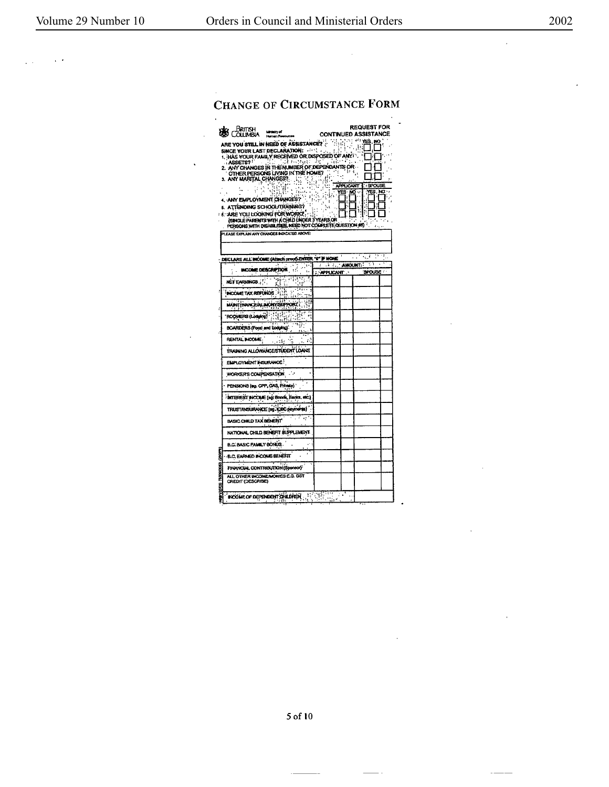$\sqrt{2}$ 

 $\sim$   $\sim$ 

 $\bar{z}$ 

 $\mathcal{L}$ 

 $\sim$   $\sim$  $\overline{\phantom{0}}$ 

## CHANGE OF CIRCUMSTANCE FORM

 $\ddot{\phantom{a}}$ 

 $\ddot{\phantom{0}}$ 

| Brutsh<br>Minison of<br><b>OLLIMBU</b><br>Human Re<br>ARE YOU STILL IN NEED OF ASSISTANCE?<br>SINCE YOUR LAST DECLARATION:<br>1. HAS YOUR FAMILY RECEIVED OR DISPOSED OF ANY 1<br>di mengan<br>ASSETS?<br>2. ANY CHANGES IN THE NUMBER OF DEPENDANTS OR<br>OTHER PERSONS LIVING IN THE HOME?<br>3. ANY MARITAL CHANGES?<br>بند<br>isin i<br>f,<br>$\mathbf{I}$<br>4. ANY EMPLOYMENT CHANGES?<br>5. ATTENDING SCHOOL/TRAINING?<br><b>1 8. ARE YOU LOOKING FOR WORK?</b> | <b>CONTINUED ASSISTANCE</b><br>Mun<br>Wun<br>$\mathbb{R}^{\mathbb{N}}$<br>17<br>- 1 | 饰的生物 <b>鸡</b><br>$\sim$<br>APPLICANT<br>YES NO<br>H | <b>REQUEST FOR</b><br>: 54<br>π<br>t. | 'nп      |
|------------------------------------------------------------------------------------------------------------------------------------------------------------------------------------------------------------------------------------------------------------------------------------------------------------------------------------------------------------------------------------------------------------------------------------------------------------------------|-------------------------------------------------------------------------------------|-----------------------------------------------------|---------------------------------------|----------|
| (SINGLE PARENTS WITH A CHILD LINDER 3 YEARS OR<br>PERSONS WITH DISNELITIES, NEED NOT COMPLETE OUESTION #5)                                                                                                                                                                                                                                                                                                                                                             |                                                                                     |                                                     |                                       | ده و د ک |
| PLEASE EXPLAIN ANY CHANGES INDICATED ABOVE:                                                                                                                                                                                                                                                                                                                                                                                                                            |                                                                                     |                                                     |                                       |          |
|                                                                                                                                                                                                                                                                                                                                                                                                                                                                        |                                                                                     |                                                     |                                       |          |
| DECLARE ALL INCOME (Attach proof ENTER "0" IF NONE                                                                                                                                                                                                                                                                                                                                                                                                                     |                                                                                     |                                                     |                                       | गा।,     |
| ٠.<br>INCOME DESCRIPTION<br>$\mathbf{r}$                                                                                                                                                                                                                                                                                                                                                                                                                               | <b>AMOUNT:</b><br>: APPLICANT                                                       |                                                     | -77<br><b>SPOLSE</b>                  |          |
| हिल्ल <del>िङ</del><br>NET EARNINGS                                                                                                                                                                                                                                                                                                                                                                                                                                    |                                                                                     |                                                     |                                       |          |
| $\cdot$ , and<br>INCOME TAX REFUNDS . FLL.                                                                                                                                                                                                                                                                                                                                                                                                                             |                                                                                     |                                                     |                                       |          |
|                                                                                                                                                                                                                                                                                                                                                                                                                                                                        |                                                                                     |                                                     |                                       |          |
| MAINTENANCE ALBERTARIA POPU                                                                                                                                                                                                                                                                                                                                                                                                                                            |                                                                                     |                                                     |                                       |          |
| ROOKERS (Longin) : 31<br>$\mathbb{R}^n$<br>₹                                                                                                                                                                                                                                                                                                                                                                                                                           |                                                                                     |                                                     |                                       |          |
| BOARDERS (Food and Lodging).                                                                                                                                                                                                                                                                                                                                                                                                                                           |                                                                                     |                                                     |                                       |          |
| RENTAL INCOME.<br>٤٤,                                                                                                                                                                                                                                                                                                                                                                                                                                                  |                                                                                     |                                                     |                                       |          |
| TRAINING ALLOWANCE/STUDENT LOANS                                                                                                                                                                                                                                                                                                                                                                                                                                       |                                                                                     |                                                     |                                       |          |
| ELIPLOYMENT INSURANCE!                                                                                                                                                                                                                                                                                                                                                                                                                                                 |                                                                                     |                                                     |                                       |          |
| WORKER'S COMPENSATION                                                                                                                                                                                                                                                                                                                                                                                                                                                  |                                                                                     |                                                     |                                       |          |
| PENSIONS (eg. CPP, OAS, Private)                                                                                                                                                                                                                                                                                                                                                                                                                                       |                                                                                     |                                                     |                                       |          |
| : INTEREST INCOUR (so: Bonds, Benks. etc.)                                                                                                                                                                                                                                                                                                                                                                                                                             |                                                                                     |                                                     |                                       |          |
| TRUSTANSURANCE (og. 1080 payments)                                                                                                                                                                                                                                                                                                                                                                                                                                     |                                                                                     |                                                     |                                       |          |
| $\bullet$ :<br>BASIC CHILD TAX BENERT                                                                                                                                                                                                                                                                                                                                                                                                                                  |                                                                                     |                                                     |                                       |          |
| NATIONAL CHILD BENEFIT SUPPLEMENT                                                                                                                                                                                                                                                                                                                                                                                                                                      |                                                                                     |                                                     |                                       |          |
|                                                                                                                                                                                                                                                                                                                                                                                                                                                                        |                                                                                     |                                                     |                                       |          |
| <b>B.C. BASIC FAMILY BONUS.</b>                                                                                                                                                                                                                                                                                                                                                                                                                                        |                                                                                     |                                                     |                                       |          |
| <b>B.C. EARNED INCOMBERENT</b>                                                                                                                                                                                                                                                                                                                                                                                                                                         |                                                                                     |                                                     |                                       |          |
| FINANCIAL CONTRIBUTION (Sponsor)                                                                                                                                                                                                                                                                                                                                                                                                                                       |                                                                                     |                                                     |                                       |          |
| ALL OTHER INCOME MONIES E.G. GST<br>CREDIT (DESCRIBE)                                                                                                                                                                                                                                                                                                                                                                                                                  |                                                                                     |                                                     |                                       |          |

 $5$  of  $10\,$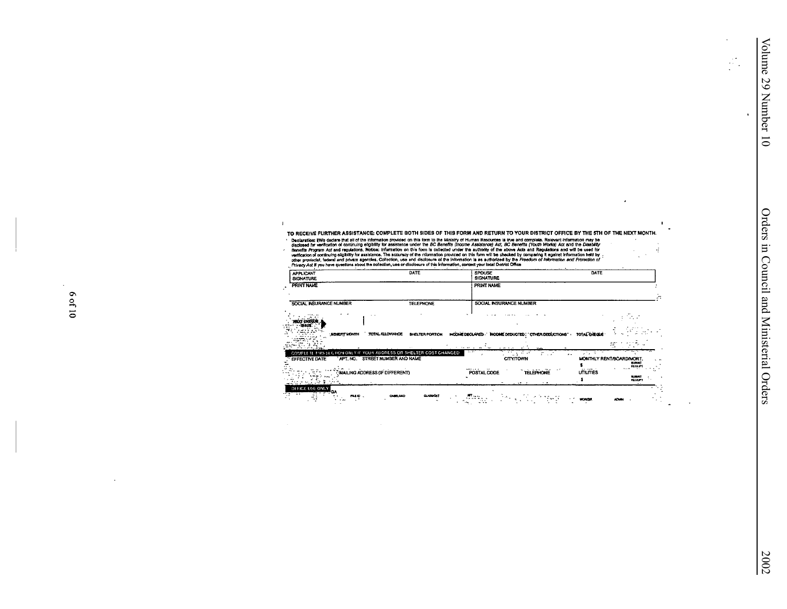$\mathcal{L}_{\mathcal{L}}^{\mathcal{L}}$  $\mathbf{r}$ 

 $\lambda$ 

 $\mathcal{L}$ 

 $\mathbf{I}$  $\tilde{\phantom{a}}$ 

 $\vec{q}$  $\chi^2$  .

> $\overline{a}$  $\Delta$

TO RECEIVE FURTHER ASSISTANCE: COMPLETE BOTH SIDES OF THIS FORM AND RETURN TO YOUR DISTRICT OFFICE BY THE STH OF THE NEXT MONTH.

To recurrence resources as the information on this local on this local Data Resources is two end complete. Relevant information may be<br>disclosed for verification of continuing eighting the assistence under the *BC* Bernoff  $\overline{\phantom{a}}$ 

 $\mathbf{1}$ 

| <b>APPLICANT</b><br><b>SIGNATURE</b>                                                                                            | DATE                                            | <b>SPOUSE</b><br><b>SIGNATURE</b>                      | DATE                                                                 |           |
|---------------------------------------------------------------------------------------------------------------------------------|-------------------------------------------------|--------------------------------------------------------|----------------------------------------------------------------------|-----------|
| <b>PRINT NAME</b>                                                                                                               |                                                 | PRINT NAME                                             |                                                                      |           |
| SOCIAL INSURANCE NUMBER                                                                                                         | <b>TELEPHONE</b>                                | SOCIAL INSURANCE NUMBER                                |                                                                      |           |
|                                                                                                                                 |                                                 | 1.11<br>$1.11 - 1.$                                    |                                                                      |           |
| TOTAL ALLOWANCE<br><b>SENETT MONTH</b>                                                                                          | <b>BHELTER PORTION</b><br>the state of the con- | INCOME DECLARED . NOOME DEDUCTED . OTHER DEDUCTIONS" . | <b>TOTAL CHECUE</b>                                                  |           |
| COMPLETE THIS SECTION ONLY IF YOUR ADDRESS OR SHELTER COST CHANGED.<br>APT, NO. STREET NUMBER AND NAME<br><b>EFFECTIVE DATE</b> |                                                 | <b>SALES</b><br>75 an<br>ヒーム<br><b>CITY/TOWN</b>       | アルマ<br>MONTHLY RENT/BOARD/MORT.<br><b>SUOM1</b><br><b>RECEPT</b>     | $\sim$ 19 |
| MAILING ADDRESS (IF DIFFERENT)                                                                                                  |                                                 | $\cdots$<br>POSTAL CODE<br><b>TELEPHONE</b>            | 77<br>41.13877<br><b>UTILITIES</b><br><b>BURNEY</b><br><b>RECOPT</b> |           |
| OFFICE USE ONLY<br>mso.<br>CARELOAD                                                                                             | <b>GLASS CAT</b>                                |                                                        | wordsh                                                               |           |

6 of 10

 $\lambda$ 

 $\mathbf{r}$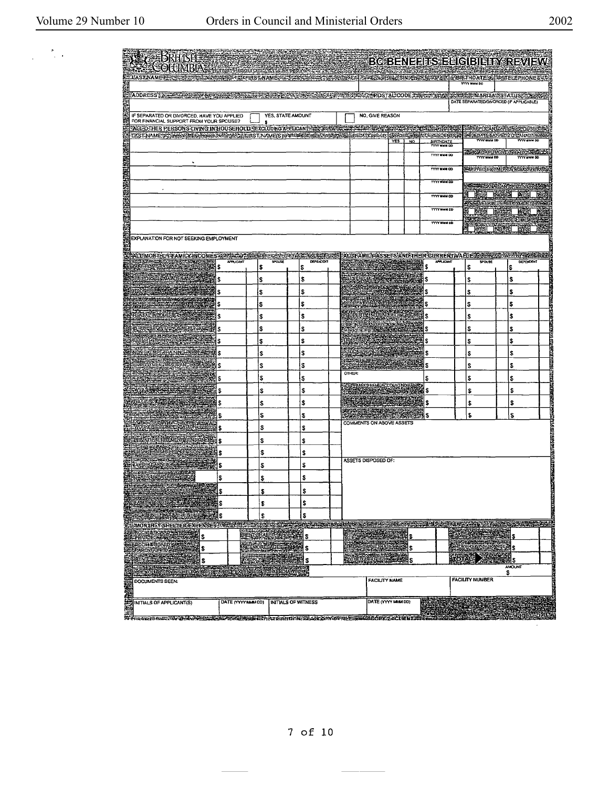$\frac{1}{2} \left( \frac{1}{2} \right)^2$  ,  $\frac{1}{2} \left( \frac{1}{2} \right)^2$ 

|  | 2002 |
|--|------|
|  |      |

| AU BRHISH MARTIN AND<br><b>LAST NAME DE LA CONSTRUCTION DE LA CONSTRUCTION DE LA CONSTRUCTION DE LA CONSTRUCTION DE LA CONSTRUCTION DE LA</b>                                                                                                                                                                                      |           |                                                                                                                |               | <b>BC BENEFITS ELIGIBILITY REVIEW</b>                              |                                          |                                                               |                                                                                                               |                                              |
|------------------------------------------------------------------------------------------------------------------------------------------------------------------------------------------------------------------------------------------------------------------------------------------------------------------------------------|-----------|----------------------------------------------------------------------------------------------------------------|---------------|--------------------------------------------------------------------|------------------------------------------|---------------------------------------------------------------|---------------------------------------------------------------------------------------------------------------|----------------------------------------------|
| AODRESS SEE RECEIVED AND                                                                                                                                                                                                                                                                                                           |           | REFLECTIVE STRIKE ALL MEREDELLED CODE A PRODUCT AND BELIEVED AND LOCAL CODE AND COLLECTED AND COLLECTED AND CO |               |                                                                    |                                          | <b>YYYY MWW DO</b><br>DATE SEPARATED/DIVORCED (IF APPLICABLE) |                                                                                                               |                                              |
| IF SEPARATED OR DIVORCED, HAVE YOU APPLIED<br>FOR FINANCIAL SUPPORT FROM YOUR SPOUSE?<br>FADEO THER PERSONS CIVING IN HOUSEHOLD JEXCLUDING APPDOAND AS A SAMES CELEVARY SANG AS A CONSTRUCTION                                                                                                                                     |           | YES, STATE AMOUNT                                                                                              |               | NO, GNE REASON                                                     |                                          |                                                               | SMP COANLY ESSENCES                                                                                           |                                              |
| EXSTAAMESSTASISTASISTERINTETOITATAT JAAME(S) PAELESTASISTASI EREDITIONSHIR ISHDEESERREDEENOEMTSIS                                                                                                                                                                                                                                  |           |                                                                                                                |               | $YES$ NO                                                           | BIRTHDATE<br><b>TYTY MMN DD</b>          | YYYY MUM DD<br><b>TYTY MAIN DD</b>                            | <b>WEBDATEMOVEDTO CAMADA STR</b><br><b>YYYY NHH DD</b><br><b>CONDATEMOVEDTOBICOSTIC</b><br><b>YYYY HMM DD</b> |                                              |
|                                                                                                                                                                                                                                                                                                                                    |           |                                                                                                                |               |                                                                    | <b>TYTY MMM 00</b><br><b>YYYY MM DO</b>  |                                                               | <b>AMOVED FROM IROV NCECOUVIRYS.</b><br><b>COMMANDIANCE CLARASTIC</b>                                         |                                              |
|                                                                                                                                                                                                                                                                                                                                    |           |                                                                                                                |               |                                                                    | <b>YYYY MNM DD</b><br><b>TYTY MMM DD</b> |                                                               | <b>That hosel are</b><br><b>RESERVIGEMENT LESSE</b><br><b>NES DOEL BEL</b>                                    | 廟                                            |
| EXPLANATION FOR NOT SEEKING EMPLOYMENT                                                                                                                                                                                                                                                                                             |           |                                                                                                                |               |                                                                    | <b>TYTY MMM DD</b>                       |                                                               | <b>SASSE MIGHELE INDEXISTS</b><br><b>DESCRIPTION</b>                                                          | 福                                            |
|                                                                                                                                                                                                                                                                                                                                    |           |                                                                                                                |               |                                                                    |                                          |                                                               |                                                                                                               |                                              |
|                                                                                                                                                                                                                                                                                                                                    | APPLICANT | <b>DEPENDENT</b><br>SPOUSE                                                                                     |               | ALEFAMILY ASSETS AND THEIR CURRENT VALUE & REAL SOMED BY REAL REAL | APPLICANT                                | SPOUSE                                                        | <b>DEPENDENT</b>                                                                                              |                                              |
| WE HOME BANKING SERI<br>\$                                                                                                                                                                                                                                                                                                         | \$        | \$                                                                                                             |               |                                                                    | Ş                                        | \$                                                            | \$                                                                                                            |                                              |
|                                                                                                                                                                                                                                                                                                                                    | l\$       | \$                                                                                                             |               |                                                                    | \$                                       | \$                                                            | \$                                                                                                            |                                              |
|                                                                                                                                                                                                                                                                                                                                    | S         | \$                                                                                                             |               |                                                                    | \$                                       | \$                                                            | \$                                                                                                            |                                              |
|                                                                                                                                                                                                                                                                                                                                    | \$        | \$                                                                                                             |               |                                                                    | \$                                       | \$                                                            | \$                                                                                                            |                                              |
|                                                                                                                                                                                                                                                                                                                                    | S         | \$                                                                                                             |               |                                                                    | \$                                       | \$                                                            | \$                                                                                                            | <b>Control Statement</b>                     |
| WHEELS FOLVENOS MORTGAGES<br>S                                                                                                                                                                                                                                                                                                     | \$        | \$                                                                                                             |               |                                                                    | \$                                       | \$                                                            | \$                                                                                                            |                                              |
| \$                                                                                                                                                                                                                                                                                                                                 | \$        | S                                                                                                              |               |                                                                    | l\$                                      | \$                                                            | \$                                                                                                            |                                              |
| \$                                                                                                                                                                                                                                                                                                                                 | \$        | \$                                                                                                             |               |                                                                    | 1\$                                      | \$                                                            | \$                                                                                                            | <b>ETHIOLOGY</b>                             |
| \$                                                                                                                                                                                                                                                                                                                                 | l\$       | \$                                                                                                             |               |                                                                    | 5                                        | \$                                                            | S                                                                                                             |                                              |
|                                                                                                                                                                                                                                                                                                                                    |           |                                                                                                                | <b>OTHER:</b> |                                                                    |                                          |                                                               |                                                                                                               |                                              |
| \$                                                                                                                                                                                                                                                                                                                                 | \$        | \$                                                                                                             |               | <b>STEPAN'S MARIAGEOUNT!</b>                                       | 18                                       | \$                                                            | \$                                                                                                            |                                              |
| l\$                                                                                                                                                                                                                                                                                                                                | \$        | \$                                                                                                             |               | <u>SECURITE DES</u>                                                | \$                                       | \$                                                            | \$                                                                                                            | <b>The Property Andrew Consults of Angle</b> |
| l\$                                                                                                                                                                                                                                                                                                                                | \$        | \$                                                                                                             |               | <b>AGO STATE STATE</b>                                             | \$                                       | \$                                                            | \$                                                                                                            |                                              |
| 15                                                                                                                                                                                                                                                                                                                                 | ı\$       | \$                                                                                                             |               |                                                                    | Ś.                                       | \$                                                            | \$                                                                                                            |                                              |
| l\$                                                                                                                                                                                                                                                                                                                                | \$        | \$                                                                                                             |               | COMMENTS ON ABOVE ASSETS                                           |                                          |                                                               |                                                                                                               |                                              |
| erki et ilisacije vicine.<br>Francuski primar<br>l S                                                                                                                                                                                                                                                                               | \$        | \$                                                                                                             |               |                                                                    |                                          |                                                               |                                                                                                               |                                              |
| \$                                                                                                                                                                                                                                                                                                                                 | \$        | \$                                                                                                             |               |                                                                    |                                          |                                                               |                                                                                                               |                                              |
| WERKNELL AND<br>\$                                                                                                                                                                                                                                                                                                                 | 3         | \$                                                                                                             |               | ASSETS DISPOSED OF:                                                |                                          |                                                               |                                                                                                               |                                              |
| 15                                                                                                                                                                                                                                                                                                                                 | \$        | \$                                                                                                             |               |                                                                    |                                          |                                                               |                                                                                                               |                                              |
|                                                                                                                                                                                                                                                                                                                                    |           |                                                                                                                |               |                                                                    |                                          |                                                               |                                                                                                               |                                              |
|                                                                                                                                                                                                                                                                                                                                    |           |                                                                                                                |               |                                                                    |                                          |                                                               |                                                                                                               |                                              |
|                                                                                                                                                                                                                                                                                                                                    |           |                                                                                                                |               |                                                                    |                                          |                                                               |                                                                                                               |                                              |
|                                                                                                                                                                                                                                                                                                                                    |           |                                                                                                                |               |                                                                    |                                          |                                                               |                                                                                                               |                                              |
|                                                                                                                                                                                                                                                                                                                                    |           |                                                                                                                |               |                                                                    |                                          |                                                               |                                                                                                               |                                              |
|                                                                                                                                                                                                                                                                                                                                    |           |                                                                                                                |               |                                                                    |                                          |                                                               |                                                                                                               |                                              |
|                                                                                                                                                                                                                                                                                                                                    |           |                                                                                                                |               |                                                                    |                                          |                                                               |                                                                                                               |                                              |
|                                                                                                                                                                                                                                                                                                                                    |           |                                                                                                                |               |                                                                    |                                          |                                                               |                                                                                                               |                                              |
|                                                                                                                                                                                                                                                                                                                                    |           |                                                                                                                |               |                                                                    |                                          |                                                               |                                                                                                               |                                              |
|                                                                                                                                                                                                                                                                                                                                    |           |                                                                                                                |               |                                                                    |                                          |                                                               |                                                                                                               |                                              |
| EN CONTRACTOR CONTRACTOR CONTRACTOR CONTRACTOR CONTRACTOR CONTRACTOR CONTRACTOR CONTRACTOR CONTRACTOR CONTRACTOR CONTRACTOR CONTRACTOR CONTRACTOR CONTRACTOR CONTRACTOR CONTRACTOR CONTRACTOR CONTRACTOR CONTRACTOR CONTRACTOR<br>ST ERRARMO ANDER ET ET TALET DE STERFEREN DE RATHATONISE DES DRASSES DE STERFEREN DE LA CITENTIA |           |                                                                                                                |               |                                                                    |                                          |                                                               |                                                                                                               |                                              |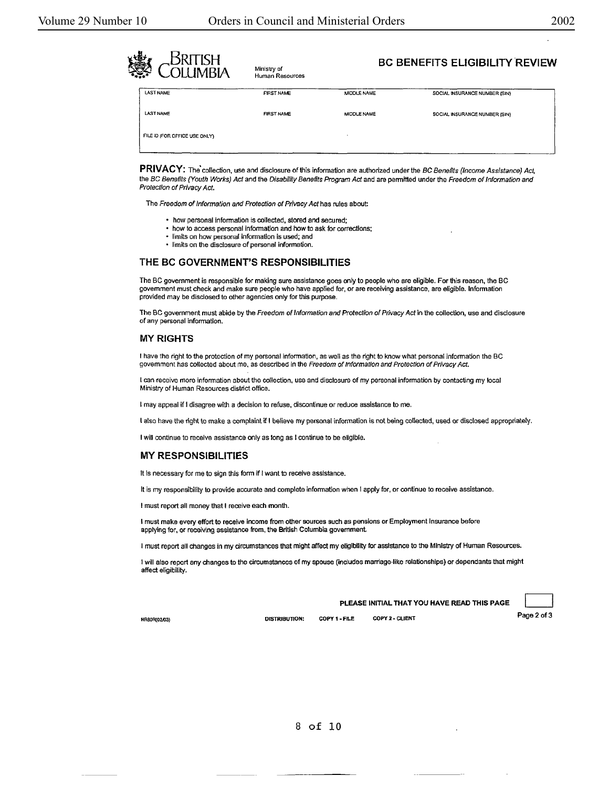| <b>SRITISH</b><br>鸞<br>)I I IMRIA | Ministry of<br>Human Resources |                    | <b>BC BENEFITS ELIGIBILITY REVIEW</b> |  |
|-----------------------------------|--------------------------------|--------------------|---------------------------------------|--|
| <b>LAST NAME</b>                  | <b>FIRST NAME</b>              | <b>MIDDLE NAME</b> | SOCIAL INSURANCE NUMBER (SIN)         |  |
| <b>LAST NAME</b>                  | <b>FIRST NAME</b>              | MIDDLE NAME        | SOCIAL INSURANCE NUMBER (SIN)         |  |
| FILE ID (FOR OFFICE USE ONLY)     |                                |                    |                                       |  |

PRIVACY: The collection, use and disclosure of this information are authorized under the BC Benefits (Income Assistance) Act, the BC Benefits (Youth Works) Act and the Disability Benefits Program Act and are permitted under the Freedom of Information and Protection of Privacy Act.

The Freedom of Information and Protection of Privacy Act has rules about:

- how personal information is collected, stored and secured;
- how to access personal Information and how to ask for corrections;
- limits on how personal infonnation is used; and
- limits on the disclosure of personal infonnatlon.

#### THE **BC GOVERNMENT'S RESPONSIBILITIES**

The BC government is responsible for making sure assistance goes only to people who are eligible. For this reason, the **BC**  government must check and make sure people who have applied for, or are receiving assistance, are eligible. Information provided may be disclosed to other agencies only for this purpose.

The BC government must abide by the Freedom of Information and Protection of Privacy Act in the collection, use and disclosure of any personal information.

#### **MY RIGHTS**

I have the right to the protection of my personal infonnation, as well as the right to know what personal information the BC government has collected about me, as described in the Freedom of Information and Protection of Privacy Act.

I can receive more information about the collection, use and disclosure of my personal information by contacting my local Ministry of Human Resources district office.

I may appeal if I disagree with a decision to refuse, discontinue or reduce assistance to me.

I also have the right to make a complaint if I believe my personal information is not being collected, used or disclosed appropriately.

I will continue to receive assistance only as long as I continue to be eligible.

#### **MY RESPONSIBILITIES**

It Is necessary for me to sign this form if I want to receive assistance.

It is my responsibility to provide accurate and complete information when I apply for, or continue to receive assistance.

I must report all money that I receive each month.

I must make every effort to receive income from other sources such as pensions or Employment Insurance before applying for, or receiving assistance from, the British Columbia government.

I must report all changes in my circumstances that might affect my eligibility for assistance to the Ministry of Human Resources.

l will also report any changes to the circumstances of my spouse (includes marriage-like relationships) or dependants that might affect eligibility.

**PLEASE INITIAL THAT YOU HAVE READ THIS PAGE**<br>DISTRIBUTION: COPY 1 • FILE COPY 2 • CLIENT Page 2 of 3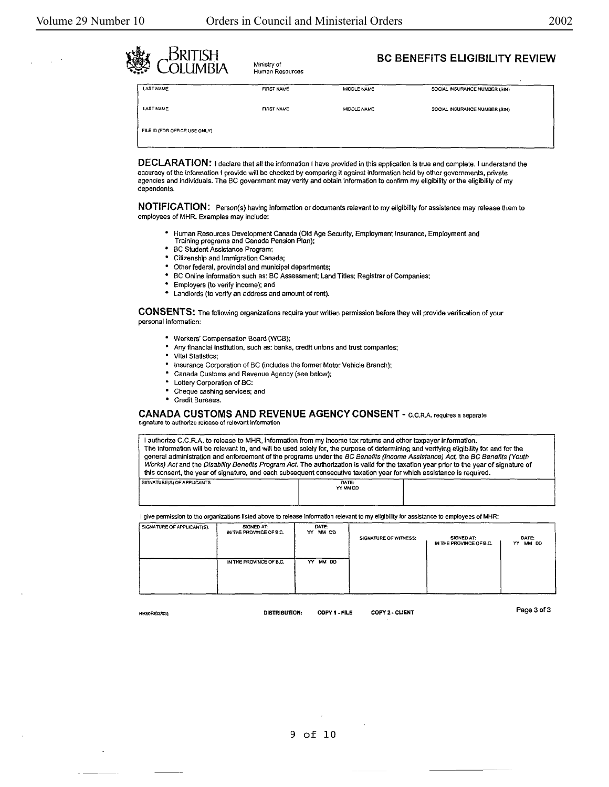Human Resources



# **BC BENEFITS ELIGIBILITY REVIEW**<br>OLL IMBIA Ministry of **BC BENEFITS ELIGIBILITY REVIEW**

| <b>LAST NAME</b>              | <b>FIRST NAME</b> | MIDDLE NAME | SOCIAL INSURANCE NUMBER (SIN) |
|-------------------------------|-------------------|-------------|-------------------------------|
| <b>LAST NAME</b>              | <b>FIRST NAME</b> | MIDDLE NAME | SOCIAL INSURANCE NUMBER (SIN) |
| FILE ID (FOR OFFICE USE ONLY) |                   |             |                               |

**DECLARATION:** I declare that all the infonnatlon I have provided in this application Is true and complete. I understand the accuracy of the information I provide will be checked by comparing it against lnfonnation held by other governments, private agencies and Individuals. The BC government may verify and obtain information to confinn my eligibility or the eligibility of my dependents.

**NOTIFICATION:** Person(s) having information or documents relevant to my eligibility for assistance may release them to employees of MHR. Examples may include:

- Human Resources Development Canada (Old Age Security, Employment Insurance, Employment and Training programs and Canada Pension Plan);
- BC Student Assistance Program;
- Citizenship and Immigration Canada;
- Other federal, provincial and municipal departments;<br>• BC Opling information such as: BC Assessment: Lap
- BC Online information such as: BC Assessment; Land Titles; Registrar of Companies;
	- Employers (to verify income); and
- Landlords (to verify an address and amount of rent).

**CONSENTS:** The following organizations require your written permission before they will provide verification of your personal Information:

- Workers' Compensation Board (WCB);
- Any financial Institution, such as: banks, credit unions and trust companies;
- Vital Statistics;
- Insurance Corporation of BC (includes the former Motor Vehicle Branch};
- Canada Customs and Revenue Agency (see below);
- Lottery Corporation of BC:
- Cheque cashing services; and
- Credit Bureaus.

#### **CANADA CUSTOMS AND REVENUE AGENCY CONSENT - C.C.R.A. requires a separate** signature to authorize release of relevant information

I authorize C.C.R.A. to release to MHR, information from my Income tax returns and other taxpayer information. The information will be relevant to, and will be used solely for, the purpose of determining and verifying eligibility for and for the general administration and enforcement of the programs under the BC Benefits (Income Assistance) Act, the BC Benefits (Youth Works) Act and the Disability Benefits Program Act. The authorization is valid for the taxation year prior to the year of signature of this consent, the year of signature, and each subsequent consecutive taxation year for which assistance is required. SIGNATURE(S) OF APPLICANTS  $\overline{DATE}$ :<br>YY MM DD

I give permission to the organizations listed above to release information relevant to my eligibility for assistance to employees of MHR:

I

| SIGNATURE OF APPLICANT(S). | SIGNED AT:<br>IN THE PROVINCE OF B.C. | DATE:<br>YY MM DD | SIGNATURE OF WITNESS: | SIGNED AT:<br>IN THE PROVINCE OF B.C. | DATE:<br>MM DO<br>YY. |
|----------------------------|---------------------------------------|-------------------|-----------------------|---------------------------------------|-----------------------|
|                            | IN THE PROVINCE OF B.C.               | MM DO<br>YY.      |                       |                                       |                       |

l'YMMOO I

HR80R(02/03)

OISTRIBUTION: COPY 1 -FILE COPY 2.- CLIENT

Page 3 of 3